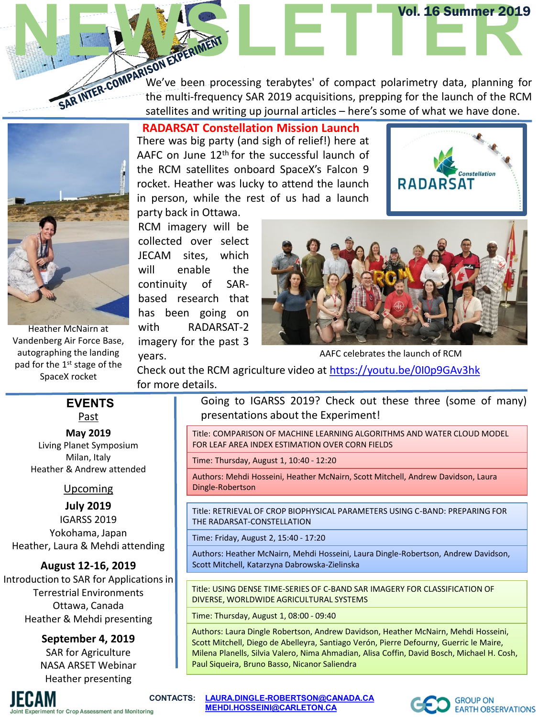SAR INTER-COMPARIN-<br>SAR INTER-COMPARING We've been processing terabytes' of compact polarimetry data, planning for<br>SAR INTER-COMPARING We've been processing terabytes' of compact polarimetry data, planning for the multi-frequency SAR 2019 acquisitions, prepping for the launch of the RCM satellites and writing up journal articles – here's some of what we have done.

Heather McNairn at Vandenberg Air Force Base, autographing the landing pad for the 1<sup>st</sup> stage of the SpaceX rocket

**RADARSAT Constellation Mission Launch**

There was big party (and sigh of relief!) here at AAFC on June 12<sup>th</sup> for the successful launch of the RCM satellites onboard SpaceX's Falcon 9 rocket. Heather was lucky to attend the launch in person, while the rest of us had a launch party back in Ottawa.





Vol. 16 Summer 2019

onstellatio

**RADARSAT** 

AAFC celebrates the launch of RCM

Check out the RCM agriculture video at <https://youtu.be/0I0p9GAv3hk> for more details.

#### Past **EVENTS**

#### **May 2019**

Living Planet Symposium Milan, Italy Heather & Andrew attended

#### Upcoming

#### **July 2019**

IGARSS 2019 Yokohama, Japan Heather, Laura & Mehdi attending

### **August 12-16, 2019**

Introduction to SAR for Applications in Terrestrial Environments Ottawa, Canada Heather & Mehdi presenting

#### **September 4, 2019**

SAR for Agriculture NASA ARSET Webinar Heather presenting

Going to IGARSS 2019? Check out these three (some of many) presentations about the Experiment!

Title: COMPARISON OF MACHINE LEARNING ALGORITHMS AND WATER CLOUD MODEL FOR LEAF AREA INDEX ESTIMATION OVER CORN FIELDS

Time: Thursday, August 1, 10:40 - 12:20

Authors: Mehdi Hosseini, Heather McNairn, Scott Mitchell, Andrew Davidson, Laura Dingle-Robertson

Title: RETRIEVAL OF CROP BIOPHYSICAL PARAMETERS USING C-BAND: PREPARING FOR THE RADARSAT-CONSTELLATION

Time: Friday, August 2, 15:40 - 17:20

Authors: Heather McNairn, Mehdi Hosseini, Laura Dingle-Robertson, Andrew Davidson, Scott Mitchell, Katarzyna Dabrowska-Zielinska

Title: USING DENSE TIME-SERIES OF C-BAND SAR IMAGERY FOR CLASSIFICATION OF DIVERSE, WORLDWIDE AGRICULTURAL SYSTEMS

Time: Thursday, August 1, 08:00 - 09:40

Authors: Laura Dingle Robertson, Andrew Davidson, Heather McNairn, Mehdi Hosseini, Scott Mitchell, Diego de Abelleyra, Santiago Verón, Pierre Defourny, Guerric le Maire, Milena Planells, Silvia Valero, Nima Ahmadian, Alisa Coffin, David Bosch, Michael H. Cosh, Paul Siqueira, Bruno Basso, Nicanor Saliendra



**CONTACTS: [LAURA.DINGLE-ROBERTSON@CANADA.CA](mailto:LAURA.DINGLE-ROBERTSON@AGR.GC.CA) [MEHDI.HOSSEINI@CARLETON.CA](mailto:MEHDI.HOSSEINI@CARLETON.CA)**